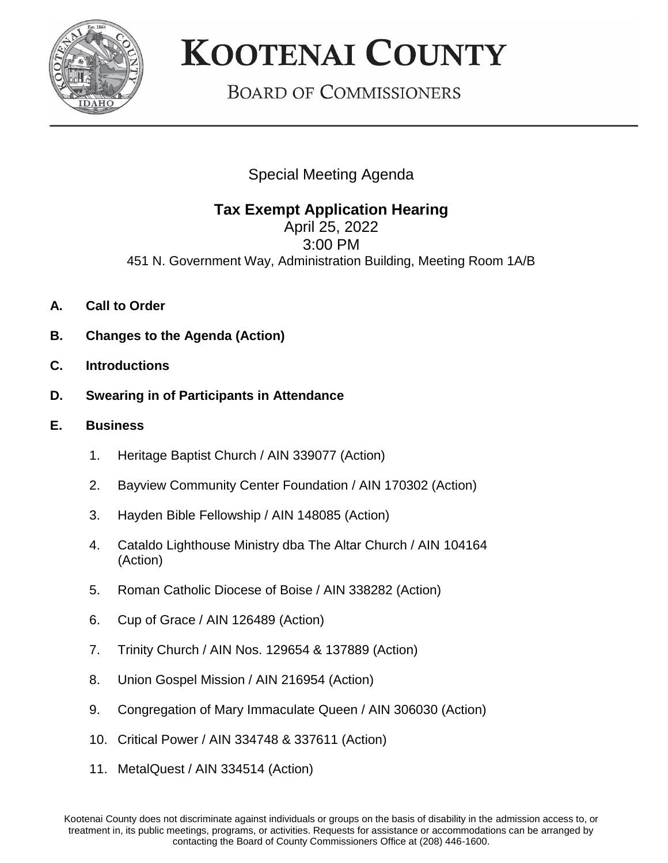

## **KOOTENAI COUNTY**

**BOARD OF COMMISSIONERS** 

Special Meeting Agenda

## **Tax Exempt Application Hearing**

April 25, 2022 3:00 PM 451 N. Government Way, Administration Building, Meeting Room 1A/B

- **A. Call to Order**
- **B. Changes to the Agenda (Action)**
- **C. Introductions**
- **D. Swearing in of Participants in Attendance**
- **E. Business**
	- 1. Heritage Baptist Church / AIN 339077 (Action)
	- 2. Bayview Community Center Foundation / AIN 170302 (Action)
	- 3. Hayden Bible Fellowship / AIN 148085 (Action)
	- 4. Cataldo Lighthouse Ministry dba The Altar Church / AIN 104164 (Action)
	- 5. Roman Catholic Diocese of Boise / AIN 338282 (Action)
	- 6. Cup of Grace / AIN 126489 (Action)
	- 7. Trinity Church / AIN Nos. 129654 & 137889 (Action)
	- 8. Union Gospel Mission / AIN 216954 (Action)
	- 9. Congregation of Mary Immaculate Queen / AIN 306030 (Action)
	- 10. Critical Power / AIN 334748 & 337611 (Action)
	- 11. MetalQuest / AIN 334514 (Action)